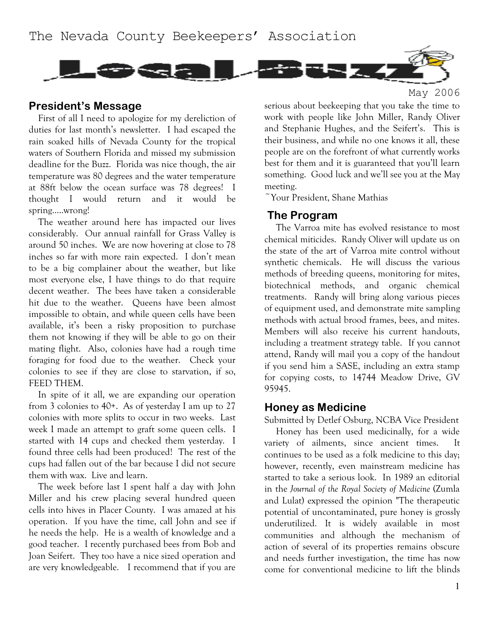

#### **President's Message**

First of all I need to apologize for my dereliction of duties for last month's newsletter. I had escaped the rain soaked hills of Nevada County for the tropical waters of Southern Florida and missed my submission deadline for the Buzz. Florida was nice though, the air temperature was 80 degrees and the water temperature at 88ft below the ocean surface was 78 degrees! I thought I would return and it would be spring…..wrong!

The weather around here has impacted our lives considerably. Our annual rainfall for Grass Valley is around 50 inches. We are now hovering at close to 78 inches so far with more rain expected. I don't mean to be a big complainer about the weather, but like most everyone else, I have things to do that require decent weather. The bees have taken a considerable hit due to the weather. Queens have been almost impossible to obtain, and while queen cells have been available, it's been a risky proposition to purchase them not knowing if they will be able to go on their mating flight. Also, colonies have had a rough time foraging for food due to the weather. Check your colonies to see if they are close to starvation, if so, FEED THEM.

In spite of it all, we are expanding our operation from 3 colonies to 40+. As of yesterday I am up to 27 colonies with more splits to occur in two weeks. Last week I made an attempt to graft some queen cells. I started with 14 cups and checked them yesterday. I found three cells had been produced! The rest of the cups had fallen out of the bar because I did not secure them with wax. Live and learn.

The week before last I spent half a day with John Miller and his crew placing several hundred queen cells into hives in Placer County. I was amazed at his operation. If you have the time, call John and see if he needs the help. He is a wealth of knowledge and a good teacher. I recently purchased bees from Bob and Joan Seifert. They too have a nice sized operation and are very knowledgeable. I recommend that if you are serious about beekeeping that you take the time to work with people like John Miller, Randy Oliver and Stephanie Hughes, and the Seifert's. This is their business, and while no one knows it all, these people are on the forefront of what currently works best for them and it is guaranteed that you'll learn something. Good luck and we'll see you at the May meeting.

May 2006

 $\tilde{\ }$ Your President, Shane Mathias

#### **The Program**

The Varroa mite has evolved resistance to most chemical miticides. Randy Oliver will update us on the state of the art of Varroa mite control without synthetic chemicals. He will discuss the various methods of breeding queens, monitoring for mites, biotechnical methods, and organic chemical treatments. Randy will bring along various pieces of equipment used, and demonstrate mite sampling methods with actual brood frames, bees, and mites. Members will also receive his current handouts, including a treatment strategy table. If you cannot attend, Randy will mail you a copy of the handout if you send him a SASE, including an extra stamp for copying costs, to 14744 Meadow Drive, GV 95945.

#### **Honey as Medicine**

Submitted by Detlef Osburg, NCBA Vice President Honey has been used medicinally, for a wide variety of ailments, since ancient times. It continues to be used as a folk medicine to this day; however, recently, even mainstream medicine has started to take a serious look. In 1989 an editorial in the *Journal of the Royal Society of Medicine* (Zumla and Lulat) expressed the opinion "The therapeutic potential of uncontaminated, pure honey is grossly underutilized. It is widely available in most communities and although the mechanism of action of several of its properties remains obscure and needs further investigation, the time has now come for conventional medicine to lift the blinds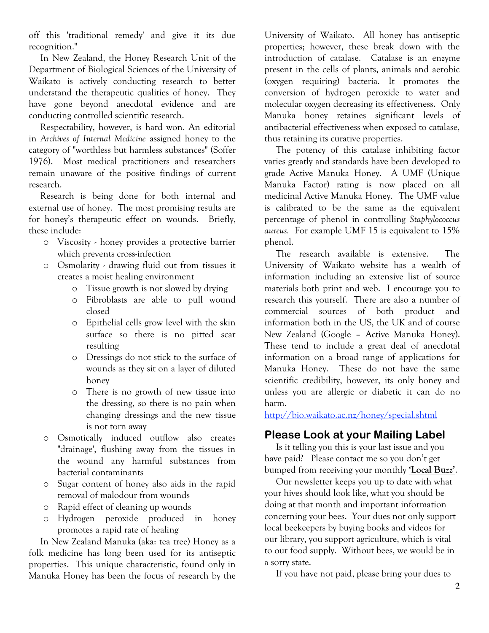off this 'traditional remedy' and give it its due recognition."

In New Zealand, the Honey Research Unit of the Department of Biological Sciences of the University of Waikato is actively conducting research to better understand the therapeutic qualities of honey. They have gone beyond anecdotal evidence and are conducting controlled scientific research.

Respectability, however, is hard won. An editorial in *Archives of Internal Medicine* assigned honey to the category of "worthless but harmless substances" (Soffer 1976). Most medical practitioners and researchers remain unaware of the positive findings of current research.

Research is being done for both internal and external use of honey. The most promising results are for honey's therapeutic effect on wounds. Briefly, these include:

- o Viscosity honey provides a protective barrier which prevents cross-infection
- o Osmolarity drawing fluid out from tissues it creates a moist healing environment
	- o Tissue growth is not slowed by drying
	- o Fibroblasts are able to pull wound closed
	- o Epithelial cells grow level with the skin surface so there is no pitted scar resulting
	- o Dressings do not stick to the surface of wounds as they sit on a layer of diluted honey
	- o There is no growth of new tissue into the dressing, so there is no pain when changing dressings and the new tissue is not torn away
- o Osmotically induced outflow also creates "drainage', flushing away from the tissues in the wound any harmful substances from bacterial contaminants
- o Sugar content of honey also aids in the rapid removal of malodour from wounds
- o Rapid effect of cleaning up wounds
- o Hydrogen peroxide produced in honey promotes a rapid rate of healing

In New Zealand Manuka (aka: tea tree) Honey as a folk medicine has long been used for its antiseptic properties. This unique characteristic, found only in Manuka Honey has been the focus of research by the University of Waikato. All honey has antiseptic properties; however, these break down with the introduction of catalase. Catalase is an enzyme present in the cells of plants, animals and aerobic (oxygen requiring) bacteria. It promotes the conversion of hydrogen peroxide to water and molecular oxygen decreasing its effectiveness. Only Manuka honey retaines significant levels of antibacterial effectiveness when exposed to catalase, thus retaining its curative properties.

The potency of this catalase inhibiting factor varies greatly and standards have been developed to grade Active Manuka Honey. A UMF (Unique Manuka Factor) rating is now placed on all medicinal Active Manuka Honey. The UMF value is calibrated to be the same as the equivalent percentage of phenol in controlling *Staphylococcus aureus.* For example UMF 15 is equivalent to 15% phenol.

The research available is extensive. The University of Waikato website has a wealth of information including an extensive list of source materials both print and web. I encourage you to research this yourself. There are also a number of commercial sources of both product and information both in the US, the UK and of course New Zealand (Google – Active Manuka Honey). These tend to include a great deal of anecdotal information on a broad range of applications for Manuka Honey. These do not have the same scientific credibility, however, its only honey and unless you are allergic or diabetic it can do no harm.

http://bio.waikato.ac.nz/honey/special.shtml

# **Please Look at your Mailing Label**

Is it telling you this is your last issue and you have paid? Please contact me so you don't get bumped from receiving your monthly **'Local Buzz'**.

Our newsletter keeps you up to date with what your hives should look like, what you should be doing at that month and important information concerning your bees. Your dues not only support local beekeepers by buying books and videos for our library, you support agriculture, which is vital to our food supply. Without bees, we would be in a sorry state.

If you have not paid, please bring your dues to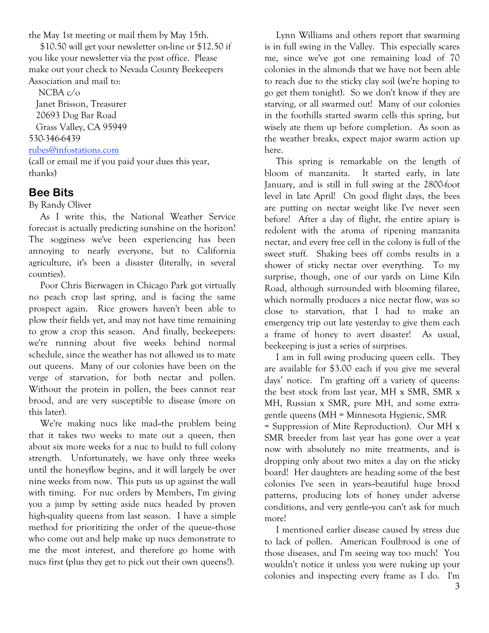the May 1st meeting or mail them by May 15th.

\$10.50 will get your newsletter on-line or \$12.50 if you like your newsletter via the post office. Please make out your check to Nevada County Beekeepers Association and mail to:

NCBA c/o Janet Brisson, Treasurer 20693 Dog Bar Road Grass Valley, CA 95949 530-346-6439 rubes@infostations.com

(call or email me if you paid your dues this year, thanks)

# **Bee Bits**

By Randy Oliver

As I write this, the National Weather Service forecast is actually predicting sunshine on the horizon! The sogginess we've been experiencing has been annoying to nearly everyone, but to California agriculture, it's been a disaster (literally, in several counties).

Poor Chris Bierwagen in Chicago Park got virtually no peach crop last spring, and is facing the same prospect again. Rice growers haven't been able to plow their fields yet, and may not have time remaining to grow a crop this season. And finally, beekeepers: we're running about five weeks behind normal schedule, since the weather has not allowed us to mate out queens. Many of our colonies have been on the verge of starvation, for both nectar and pollen. Without the protein in pollen, the bees cannot rear brood, and are very susceptible to disease (more on this later).

We're making nucs like mad-the problem being that it takes two weeks to mate out a queen, then about six more weeks for a nuc to build to full colony strength. Unfortunately, we have only three weeks until the honeyflow begins, and it will largely be over nine weeks from now. This puts us up against the wall with timing. For nuc orders by Members, I'm giving you a jump by setting aside nucs headed by proven high-quality queens from last season. I have a simple method for prioritizing the order of the queue--those who come out and help make up nucs demonstrate to me the most interest, and therefore go home with nucs first (plus they get to pick out their own queens!).

Lynn Williams and others report that swarming is in full swing in the Valley. This especially scares me, since we've got one remaining load of 70 colonies in the almonds that we have not been able to reach due to the sticky clay soil (we're hoping to go get them tonight). So we don't know if they are starving, or all swarmed out! Many of our colonies in the foothills started swarm cells this spring, but wisely ate them up before completion. As soon as the weather breaks, expect major swarm action up here.

This spring is remarkable on the length of bloom of manzanita. It started early, in late January, and is still in full swing at the 2800-foot level in late April! On good flight days, the bees are putting on nectar weight like I've never seen before! After a day of flight, the entire apiary is redolent with the aroma of ripening manzanita nectar, and every free cell in the colony is full of the sweet stuff. Shaking bees off combs results in a shower of sticky nectar over everything. To my surprise, though, one of our yards on Lime Kiln Road, although surrounded with blooming filaree, which normally produces a nice nectar flow, was so close to starvation, that I had to make an emergency trip out late yesterday to give them each a frame of honey to avert disaster! As usual, beekeeping is just a series of surprises.

I am in full swing producing queen cells. They are available for \$3.00 each if you give me several days' notice. I'm grafting off a variety of queens: the best stock from last year, MH x SMR, SMR x MH, Russian x SMR, pure MH, and some extragentle queens (MH = Minnesota Hygienic, SMR = Suppression of Mite Reproduction). Our MH x SMR breeder from last year has gone over a year now with absolutely no mite treatments, and is dropping only about two mites a day on the sticky board! Her daughters are heading some of the best colonies I've seen in years--beautiful huge brood patterns, producing lots of honey under adverse conditions, and very gentle-you can't ask for much more!

I mentioned earlier disease caused by stress due to lack of pollen. American Foulbrood is one of those diseases, and I'm seeing way too much! You wouldn't notice it unless you were nuking up your colonies and inspecting every frame as I do. I'm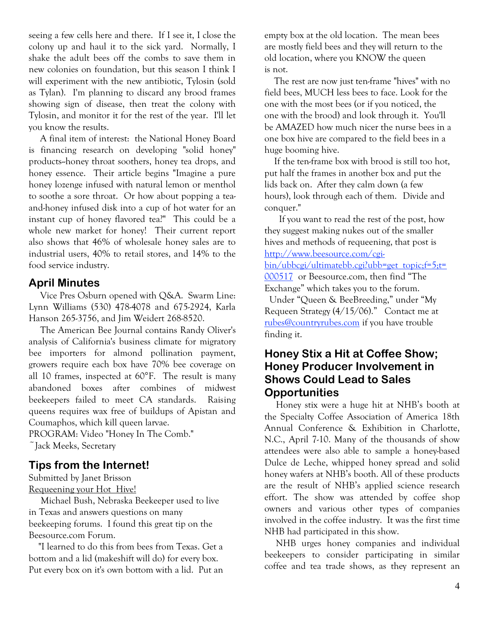seeing a few cells here and there. If I see it, I close the colony up and haul it to the sick yard. Normally, I shake the adult bees off the combs to save them in new colonies on foundation, but this season I think I will experiment with the new antibiotic, Tylosin (sold as Tylan). I'm planning to discard any brood frames showing sign of disease, then treat the colony with Tylosin, and monitor it for the rest of the year. I'll let you know the results.

A final item of interest: the National Honey Board is financing research on developing "solid honey" products--honey throat soothers, honey tea drops, and honey essence. Their article begins "Imagine a pure honey lozenge infused with natural lemon or menthol to soothe a sore throat. Or how about popping a teaand-honey infused disk into a cup of hot water for an instant cup of honey flavored tea?" This could be a whole new market for honey! Their current report also shows that 46% of wholesale honey sales are to industrial users, 40% to retail stores, and 14% to the food service industry.

### **April Minutes**

Vice Pres Osburn opened with Q&A. Swarm Line: Lynn Williams (530) 478-4078 and 675-2924, Karla Hanson 265-3756, and Jim Weidert 268-8520.

The American Bee Journal contains Randy Oliver's analysis of California's business climate for migratory bee importers for almond pollination payment, growers require each box have 70% bee coverage on all 10 frames, inspected at 60°F. The result is many abandoned boxes after combines of midwest beekeepers failed to meet CA standards. Raising queens requires wax free of buildups of Apistan and Coumaphos, which kill queen larvae.

PROGRAM: Video "Honey In The Comb." ~Jack Meeks, Secretary

# **Tips from the Internet!**

Submitted by Janet Brisson Requeening your Hot Hive!

Michael Bush, Nebraska Beekeeper used to live in Texas and answers questions on many beekeeping forums. I found this great tip on the Beesource.com Forum.

"I learned to do this from bees from Texas. Get a bottom and a lid (makeshift will do) for every box. Put every box on it's own bottom with a lid. Put an

empty box at the old location. The mean bees are mostly field bees and they will return to the old location, where you KNOW the queen is not.

The rest are now just ten-frame "hives" with no field bees, MUCH less bees to face. Look for the one with the most bees (or if you noticed, the one with the brood) and look through it. You'll be AMAZED how much nicer the nurse bees in a one box hive are compared to the field bees in a huge booming hive.

If the ten-frame box with brood is still too hot, put half the frames in another box and put the lids back on. After they calm down (a few hours), look through each of them. Divide and conquer."

If you want to read the rest of the post, how they suggest making nukes out of the smaller hives and methods of requeening, that post is http://www.beesource.com/cgibin/ubbcgi/ultimatebb.cgi?ubb=get\_topic;f=5;t= 000517 or Beesource.com, then find "The Exchange" which takes you to the forum. Under "Queen & BeeBreeding," under "My

Requeen Strategy (4/15/06)." Contact me at rubes@countryrubes.com if you have trouble finding it.

### **Honey Stix a Hit at Coffee Show; Honey Producer Involvement in Shows Could Lead to Sales Opportunities**

Honey stix were a huge hit at NHB's booth at the Specialty Coffee Association of America 18th Annual Conference & Exhibition in Charlotte, N.C., April 7-10. Many of the thousands of show attendees were also able to sample a honey-based Dulce de Leche, whipped honey spread and solid honey wafers at NHB's booth. All of these products are the result of NHB's applied science research effort. The show was attended by coffee shop owners and various other types of companies involved in the coffee industry. It was the first time NHB had participated in this show.

NHB urges honey companies and individual beekeepers to consider participating in similar coffee and tea trade shows, as they represent an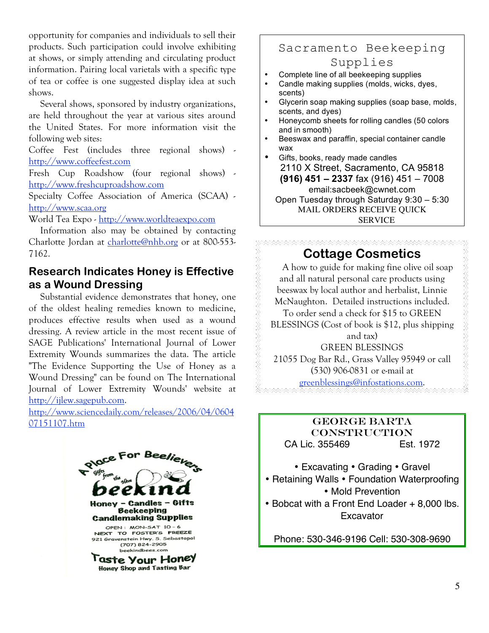opportunity for companies and individuals to sell their products. Such participation could involve exhibiting at shows, or simply attending and circulating product information. Pairing local varietals with a specific type of tea or coffee is one suggested display idea at such shows.

Several shows, sponsored by industry organizations, are held throughout the year at various sites around the United States. For more information visit the following web sites:

Coffee Fest (includes three regional shows) http://www.coffeefest.com

Fresh Cup Roadshow (four regional shows) http://www.freshcuproadshow.com

Specialty Coffee Association of America (SCAA) http://www.scaa.org

World Tea Expo - http://www.worldteaexpo.com

Information also may be obtained by contacting Charlotte Jordan at charlotte@nhb.org or at 800-553- 7162.

### **Research Indicates Honey is Effective as a Wound Dressing**

Substantial evidence demonstrates that honey, one of the oldest healing remedies known to medicine, produces effective results when used as a wound dressing. A review article in the most recent issue of SAGE Publications' International Journal of Lower Extremity Wounds summarizes the data. The article "The Evidence Supporting the Use of Honey as a Wound Dressing" can be found on The International Journal of Lower Extremity Wounds' website at http://ijlew.sagepub.com.

http://www.sciencedaily.com/releases/2006/04/0604 07151107.htm



# Sacramento Beekeeping Supplies

- Complete line of all beekeeping supplies
- Candle making supplies (molds, wicks, dyes, scents)
- Glycerin soap making supplies (soap base, molds, scents, and dyes)
- Honeycomb sheets for rolling candles (50 colors and in smooth)
- Beeswax and paraffin, special container candle wax
- Gifts, books, ready made candles 2110 X Street, Sacramento, CA 95818 **(916) 451 – 2337** fax (916) 451 – 7008 email:sacbeek@cwnet.com Open Tuesday through Saturday 9:30 – 5:30 MAIL ORDERS RECEIVE QUICK SERVICE

# **Cottage Cosmetics**

A how to guide for making fine olive oil soap and all natural personal care products using beeswax by local author and herbalist, Linnie McNaughton. Detailed instructions included. To order send a check for \$15 to GREEN BLESSINGS (Cost of book is \$12, plus shipping and tax) GREEN BLESSINGS

21055 Dog Bar Rd., Grass Valley 95949 or call (530) 906-0831 or e-mail at

greenblessings@infostations.com.

#### GEORGE BARTA **CONSTRUCTION** CA Lic. 355469 Est. 1972

- Excavating Grading Gravel • Retaining Walls • Foundation Waterproofing • Mold Prevention
- Bobcat with a Front End Loader + 8,000 lbs. **Excavator**

Phone: 530-346-9196 Cell: 530-308-9690

REAR HANNAN SAN DE HANNAN SAN SAN SAN SA